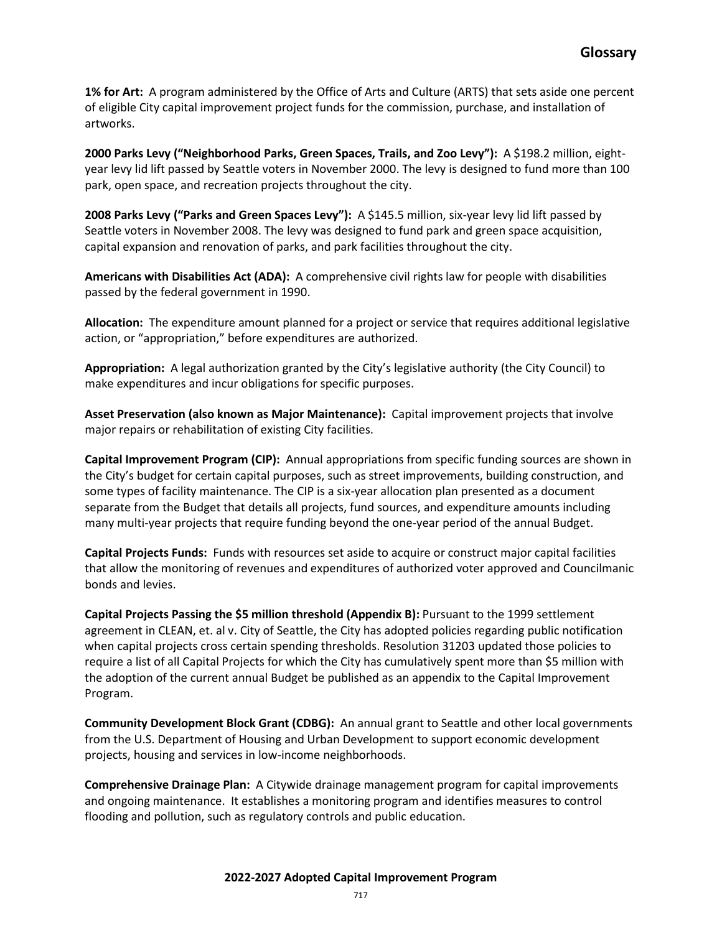**1% for Art:** A program administered by the Office of Arts and Culture (ARTS) that sets aside one percent of eligible City capital improvement project funds for the commission, purchase, and installation of artworks.

2000 Parks Levy ("Neighborhood Parks, Green Spaces, Trails, and Zoo Levy"): A \$198.2 million, eightyear levy lid lift passed by Seattle voters in November 2000. The levy is designed to fund more than 100 park, open space, and recreation projects throughout the city.

**2008 Parks Levy ("Parks and Green Spaces Levy"):** A \$145.5 million, six-year levy lid lift passed by Seattle voters in November 2008. The levy was designed to fund park and green space acquisition, capital expansion and renovation of parks, and park facilities throughout the city.

**Americans with Disabilities Act (ADA):** A comprehensive civil rights law for people with disabilities passed by the federal government in 1990.

**Allocation:** The expenditure amount planned for a project or service that requires additional legislative action, or "appropriation," before expenditures are authorized.

**Appropriation:** A legal authorization granted by the City's legislative authority (the City Council) to make expenditures and incur obligations for specific purposes.

**Asset Preservation (also known as Major Maintenance):** Capital improvement projects that involve major repairs or rehabilitation of existing City facilities.

**Capital Improvement Program (CIP):** Annual appropriations from specific funding sources are shown in the City's budget for certain capital purposes, such as street improvements, building construction, and some types of facility maintenance. The CIP is a six-year allocation plan presented as a document separate from the Budget that details all projects, fund sources, and expenditure amounts including many multi-year projects that require funding beyond the one-year period of the annual Budget.

**Capital Projects Funds:** Funds with resources set aside to acquire or construct major capital facilities that allow the monitoring of revenues and expenditures of authorized voter approved and Councilmanic bonds and levies.

**Capital Projects Passing the \$5 million threshold (Appendix B):** Pursuant to the 1999 settlement agreement in CLEAN, et. al v. City of Seattle, the City has adopted policies regarding public notification when capital projects cross certain spending thresholds. Resolution 31203 updated those policies to require a list of all Capital Projects for which the City has cumulatively spent more than \$5 million with the adoption of the current annual Budget be published as an appendix to the Capital Improvement Program.

**Community Development Block Grant (CDBG):** An annual grant to Seattle and other local governments from the U.S. Department of Housing and Urban Development to support economic development projects, housing and services in low-income neighborhoods.

**Comprehensive Drainage Plan:** A Citywide drainage management program for capital improvements and ongoing maintenance. It establishes a monitoring program and identifies measures to control flooding and pollution, such as regulatory controls and public education.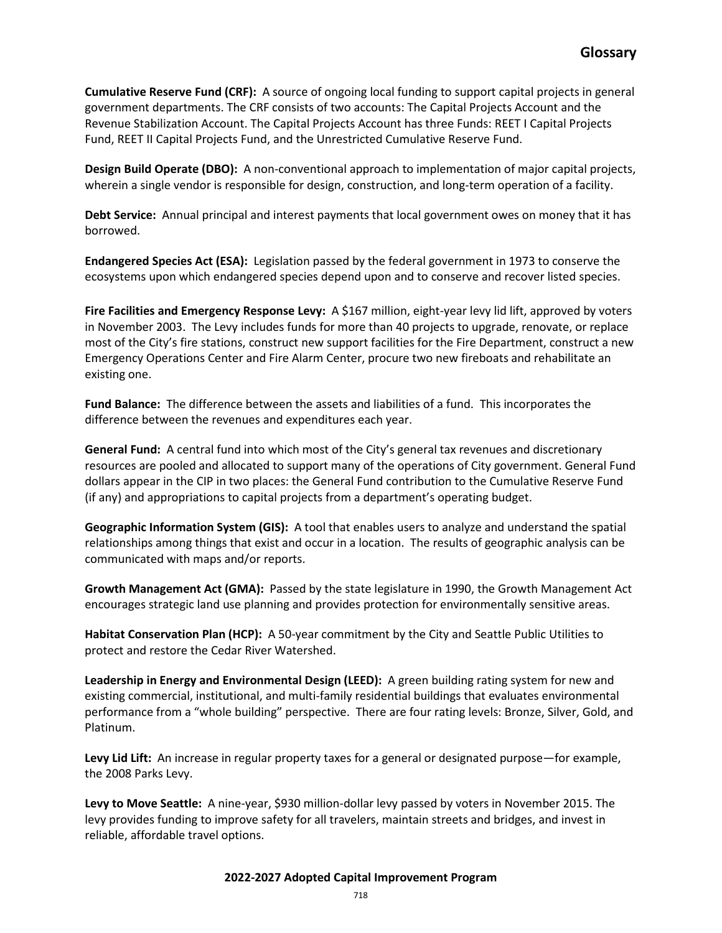**Cumulative Reserve Fund (CRF):** A source of ongoing local funding to support capital projects in general government departments. The CRF consists of two accounts: The Capital Projects Account and the Revenue Stabilization Account. The Capital Projects Account has three Funds: REET I Capital Projects Fund, REET II Capital Projects Fund, and the Unrestricted Cumulative Reserve Fund.

**Design Build Operate (DBO):** A non-conventional approach to implementation of major capital projects, wherein a single vendor is responsible for design, construction, and long-term operation of a facility.

**Debt Service:** Annual principal and interest payments that local government owes on money that it has borrowed.

**Endangered Species Act (ESA):** Legislation passed by the federal government in 1973 to conserve the ecosystems upon which endangered species depend upon and to conserve and recover listed species.

**Fire Facilities and Emergency Response Levy:** A \$167 million, eight-year levy lid lift, approved by voters in November 2003. The Levy includes funds for more than 40 projects to upgrade, renovate, or replace most of the City's fire stations, construct new support facilities for the Fire Department, construct a new Emergency Operations Center and Fire Alarm Center, procure two new fireboats and rehabilitate an existing one.

**Fund Balance:** The difference between the assets and liabilities of a fund. This incorporates the difference between the revenues and expenditures each year.

**General Fund:** A central fund into which most of the City's general tax revenues and discretionary resources are pooled and allocated to support many of the operations of City government. General Fund dollars appear in the CIP in two places: the General Fund contribution to the Cumulative Reserve Fund (if any) and appropriations to capital projects from a department's operating budget.

**Geographic Information System (GIS):** A tool that enables users to analyze and understand the spatial relationships among things that exist and occur in a location. The results of geographic analysis can be communicated with maps and/or reports.

**Growth Management Act (GMA):** Passed by the state legislature in 1990, the Growth Management Act encourages strategic land use planning and provides protection for environmentally sensitive areas.

**Habitat Conservation Plan (HCP):** A 50-year commitment by the City and Seattle Public Utilities to protect and restore the Cedar River Watershed.

**Leadership in Energy and Environmental Design (LEED):** A green building rating system for new and existing commercial, institutional, and multi-family residential buildings that evaluates environmental performance from a "whole building" perspective. There are four rating levels: Bronze, Silver, Gold, and Platinum.

**Levy Lid Lift:** An increase in regular property taxes for a general or designated purpose—for example, the 2008 Parks Levy.

Levy to Move Seattle: A nine-year, \$930 million-dollar levy passed by voters in November 2015. The levy provides funding to improve safety for all travelers, maintain streets and bridges, and invest in reliable, affordable travel options.

## **2022-2027 Adopted Capital Improvement Program**